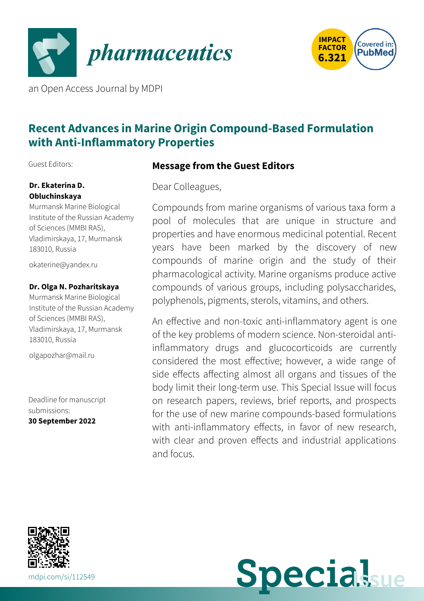



an Open Access Journal by MDPI

# **Recent Advances in Marine Origin Compound-Based Formulation with Anti-Inflammatory Properties**

Guest Editors:

### **Dr. Ekaterina D. Obluchinskaya**

Murmansk Marine Biological Institute of the Russian Academy of Sciences (MMBI RAS), Vladimirskaya, 17, Murmansk 183010, Russia

[okaterine@yandex.ru](mailto:okaterine@yandex.ru)

### **Dr. Olga N. Pozharitskaya**

Murmansk Marine Biological Institute of the Russian Academy of Sciences (MMBI RAS), Vladimirskaya, 17, Murmansk 183010, Russia

[olgapozhar@mail.ru](mailto:olgapozhar@mail.ru)

Deadline for manuscript submissions: **30 September 2022**

# **Message from the Guest Editors**

Dear Colleagues,

Compounds from marine organisms of various taxa form a pool of molecules that are unique in structure and properties and have enormous medicinal potential. Recent years have been marked by the discovery of new compounds of marine origin and the study of their pharmacological activity. Marine organisms produce active compounds of various groups, including polysaccharides, polyphenols, pigments, sterols, vitamins, and others.

An effective and non-toxic anti-inflammatory agent is one of the key problems of modern science. Non-steroidal antiinflammatory drugs and glucocorticoids are currently considered the most effective; however, a wide range of side effects affecting almost all organs and tissues of the body limit their long-term use. This Special Issue will focus on research papers, reviews, brief reports, and prospects for the use of new marine compounds-based formulations with anti-inflammatory effects, in favor of new research, with clear and proven effects and industrial applications and focus.